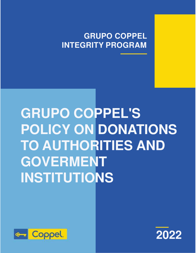## **GRUPO COPPEL INTEGRITY PROGRAM**

# **GRUPO COPPEL'S POLICY ON DONATIONS TO AUTHORITIES AND GOVERMENT INSTITUTIONS**



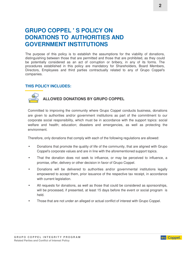### **GRUPO COPPEL ' S POLICY ON DONATIONS TO AUTHORITIES AND GOVERNMENT INSTITUTIONS**

The purpose of this policy is to establish the assumptions for the viability of donations, distinguishing between those that are permitted and those that are prohibited, as they could be potentially considered as an act of corruption or bribery, in any of its forms. The procedures established in this policy are mandatory for Shareholders, Board Members, Directors, Employees and third parties contractually related to any of Grupo Coppel's companies.

#### **THIS POLICY INCLUDES:**



#### **ALLOWED DONATIONS BY GRUPO COPPEL**

Committed to improving the community where Grupo Coppel conducts business, donations are given to authorities and/or government institutions as part of the commitment to our corporate social responsibility, which must be in accordance with the support topics: social welfare and health; education; disasters and emergencies, as well as protecting the environment.

Therefore, only donations that comply with each of the following regulations are allowed:

- Donations that promote the quality of life of the community, that are aligned with Grupo Coppel's corporate values and are in line with the aforementioned support topics.
- That the donation does not seek to influence, or may be perceived to influence, a promise, offer, delivery or other decision in favor of Grupo Coppel.
- Donations will be delivered to authorities and/or governmental institutions legally empowered to accept them, prior issuance of the respective tax receipt, in accordance with current legislation.
- All requests for donations, as well as those that could be considered as sponsorships, will be processed, if presented, at least 15 days before the event or social program is held.
- Those that are not under an alleged or actual conflict of interest with Grupo Coppel.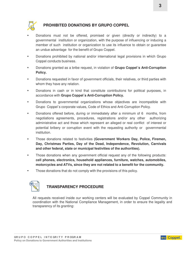

#### **PROHIBITED DONATIONS BY GRUPO COPPEL**

- Donations must not be offered, promised or given (directly or indirectly) to a governmental institution or organization, with the purpose of influencing or inducing a member of such institution or organization to use its influence to obtain or guarantee an undue advantage for the benefit of Grupo Coppel.
- Donations prohibited by national and/or international legal provisions in which Grupo Coppel conducts business.
- Donations granted as a bribe request, in violation of **Grupo Coppel´s Anti-Corruption Policy.**
- Donations requested in favor of government officials, their relatives, or third parties with whom they have any relation.
- Donations in cash or in kind that constitute contributions for political purposes, in accordance with **Grupo Coppel´s Anti-Corruption Policy.**
- Donations to governmental organizations whose objectives are incompatible with Grupo Coppel´s corporate values, Code of Ethics and Anti-Corruption Policy.
- Donations offered before, during or immediately after a minimum of 6 months, from negotiations agreements, procedures, registrations and/or any other authorizing administrative act and those which represent an alleged or real conflict of interest or potential bribery or corruption event with the requesting authority or governmental institution.
- Those donations related to festivities **(Government Workers Day, Police, Firemen, Day, Christmas Parties, Day of the Dead, Independence, Revolution, Carnivals and other federal, state or municipal festivities of the authorities).**
- Those donations when any government official request any of the following products: **cell phones, electronics, household appliances, furniture, watches, automobiles, motorcycles and ATVs, since they are not related to a benefit for the community.**
- Those donations that do not comply with the provisions of this policy.



#### **TRANSPARENCY PROCEDURE**

All requests received inside our working centers will be evaluated by Coppel Community in coordination with the National Compliance Management, in order to ensure the legality and transparency of its granting:

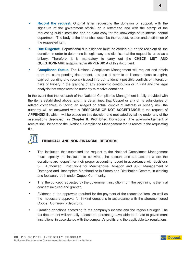- **Record the request.** Original letter requesting the donation or support, with the signature of the government official, on a letterhead and with the stamp of the requesting public institution and an extra copy for the knowledge of its internal control department. The body of the letter shall describe the request, reason and destination of
- **Due Diligence.** Reputational due diligence must be carried out on the recipient of the donation in order to determine its legitimacy and dismiss that the request is used as a bribery. Therefore, it is mandatory to carry out the **CHECK LIST AND QUESTIONNAIRE** established in **APPENDIX A** of this document.
- C**ompliance Status.** The National Compliance Management will request and obtain from the corresponding department, a status of permits or licenses close to expire, expired, pending and recently issued in order to identify possible conflicts of interest or risks of bribery in the granting of any economic contribution or in kind and the legal analysis that empowers the authority to receive donations.

In the event that the research of the National Compliance Management is fully provided with the items established above, and it is determined that Coppel or any of its subsidiaries or related companies, is facing an alleged or actual conflict of interest or bribery risk, the authority will be answered with a **RESPONSE OF NOT ACCEPTANCE** of the request of **APPENDIX B,** which will be based on this decision and motivated by falling under any of the assumptions described in **Chapter II. Prohibited Donations.** The acknowledgement of receipt shall be sent to the National Compliance Management for its record in the requesting file.

the requested item.

#### **FINANCIAL AND NON-FINANCIAL RECORDS**

- The Institution that submitted the request to the National Compliance Management must specify the institution to be wired, the account and sub-account where the donations are deposit for their proper accounting record in accordance with decisions 3-L, Authorized Institutions for Merchandise Donation and 96-G Management of Damaged and Incomplete Merchandise in Stores and Distribution Centers, in clothing and footwear, both under Coppel Community.
- That the concept requested by the government institution from the beginning is the final concept invoiced and granted.
- Evidence of the approvals required for the payment of the requested item. As well as the necessary approval for in-kind donations in accordance with the aforementioned Coppel Community decisions.
- Granting donations according to the company's income and the region's budget. The tax department will annually release the percentage available to donate to government institutions, in accordance with the company's profits and the applicable tax regulations.

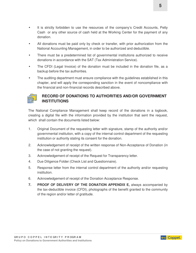- It is strictly forbidden to use the resources of the company's Credit Accounts, Petty Cash or any other source of cash held at the Working Center for the payment of any donation.
- All donations must be paid only by check or transfer, with prior authorization from the National Accounting Management, in order to be authorized and deductible.
- There must be a predetermined list of governmental institutions authorized to receive donations in accordance with the SAT (Tax Administration Service).
- The CFDI (Legal Invoice) of the donation must be included in the donation file, as a backup before the tax authorities.
- The auditing department must ensure compliance with the guidelines established in this chapter, and will apply the corresponding sanction in the event of noncompliance with the financial and non-financial records described above.



#### **RECORD OF DONATIONS TO AUTHORITIES AND/OR GOVERNMENT INSTITUTIONS**

The National Compliance Management shall keep record of the donations in a logbook, creating a digital file with the information provided by the institution that sent the request, which shall contain the documents listed below:

- 1. Original Document of the requesting letter with signature, stamp of the authority and/or governmental institution, with a copy of the internal control department of the requesting institution or authority stating its consent for the donation.
- 2. Acknowledgement of receipt of the written response of Non-Acceptance of Donation (in the case of not granting the request).
- 3. Acknowledgement of receipt of the Request for Transparency letter.
- 4. Due Diligence Folder (Check List and Questionnaire).
- 5. Response letter from the internal control department of the authority and/or requesting institution.
- 6. Acknowledgement of receipt of the Donation Acceptance Response.
- **7. PROOF OF DELIVERY OF THE DONATION APPENDIX E,** always accompanied by the tax-deductible invoice (CFDI), photographs of the benefit granted to the community of the region and/or letter of gratitude.